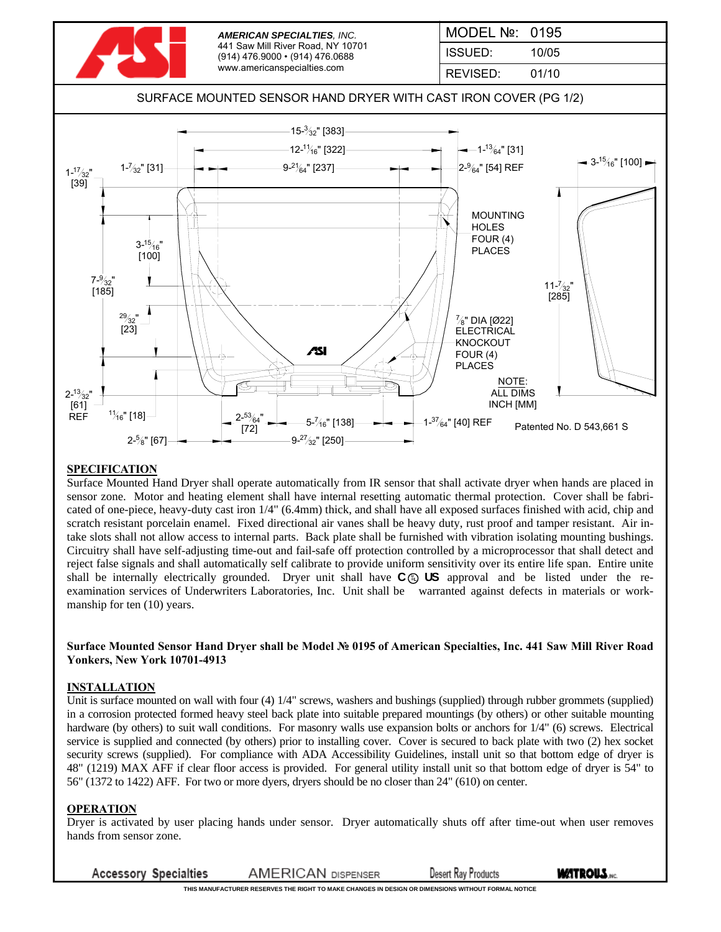

### **SPECIFICATION**

Surface Mounted Hand Dryer shall operate automatically from IR sensor that shall activate dryer when hands are placed in sensor zone. Motor and heating element shall have internal resetting automatic thermal protection. Cover shall be fabricated of one-piece, heavy-duty cast iron 1/4" (6.4mm) thick, and shall have all exposed surfaces finished with acid, chip and scratch resistant porcelain enamel. Fixed directional air vanes shall be heavy duty, rust proof and tamper resistant. Air intake slots shall not allow access to internal parts. Back plate shall be furnished with vibration isolating mounting bushings. Circuitry shall have self-adjusting time-out and fail-safe off protection controlled by a microprocessor that shall detect and reject false signals and shall automatically self calibrate to provide uniform sensitivity over its entire life span. Entire unite shall be internally electrically grounded. Dryer unit shall have  $C \oplus US$  approval and be listed under the reexamination services of Underwriters Laboratories, Inc. Unit shall be warranted against defects in materials or workmanship for ten (10) years.

#### **Surface Mounted Sensor Hand Dryer shall be Model № 0195 of American Specialties, Inc. 441 Saw Mill River Road Yonkers, New York 10701-4913**

#### **INSTALLATION**

Unit is surface mounted on wall with four (4)  $1/4$ " screws, washers and bushings (supplied) through rubber grommets (supplied) in a corrosion protected formed heavy steel back plate into suitable prepared mountings (by others) or other suitable mounting hardware (by others) to suit wall conditions. For masonry walls use expansion bolts or anchors for 1/4" (6) screws. Electrical service is supplied and connected (by others) prior to installing cover. Cover is secured to back plate with two (2) hex socket security screws (supplied). For compliance with ADA Accessibility Guidelines, install unit so that bottom edge of dryer is 48" (1219) MAX AFF if clear floor access is provided. For general utility install unit so that bottom edge of dryer is 54" to 56" (1372 to 1422) AFF. For two or more dyers, dryers should be no closer than 24" (610) on center.

#### **OPERATION**

Dryer is activated by user placing hands under sensor. Dryer automatically shuts off after time-out when user removes hands from sensor zone.

**Accessory Specialties AMERICAN DISPENSER Desert Ray Products**  **MATROUS.** 

**THIS MANUFACTURER RESERVES THE RIGHT TO MAKE CHANGES IN DESIGN OR DIMENSIONS WITHOUT FORMAL NOTICE**